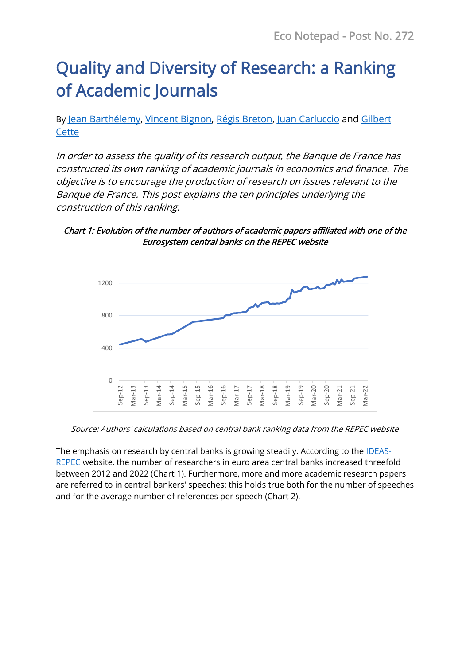# Quality and Diversity of Research: a Ranking of Academic Journals

By [Jean Barthélemy,](https://www.banque-france.fr/en/economics/economists-and-researchers/jean-barthelemy) [Vincent Bignon,](https://www.banque-france.fr/en/economics/economists-and-researchers/vincent-bignon) [Régis Breton,](https://www.banque-france.fr/en/economics/economists-and-researchers/regis-breton) [Juan Carluccio](https://www.banque-france.fr/en/economics/economists-and-researchers/juan-carluccio) and [Gilbert](http://www.gilbertcette.net/GilbertCette_Main.htm)  **[Cette](http://www.gilbertcette.net/GilbertCette_Main.htm)** 

In order to assess the quality of its research output, the Banque de France has constructed its own ranking of academic journals in economics and finance. The objective is to encourage the production of research on issues relevant to the Banque de France. This post explains the ten principles underlying the construction of this ranking.

Chart 1: Evolution of the number of authors of academic papers affiliated with one of the Eurosystem central banks on the REPEC website



Source: Authors' calculations based on central bank ranking data from the REPEC website

The emphasis on research by central banks is growing steadily. According to the **IDEAS-**[REPEC](https://ideas.repec.org/top/) website, the number of researchers in euro area central banks increased threefold between 2012 and 2022 (Chart 1). Furthermore, more and more academic research papers are referred to in central bankers' speeches: this holds true both for the number of speeches and for the average number of references per speech (Chart 2).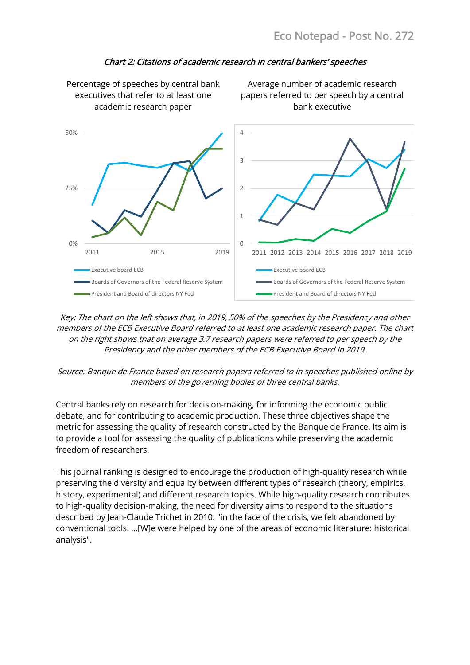

#### Chart 2: Citations of academic research in central bankers' speeches

Key: The chart on the left shows that, in 2019, 50% of the speeches by the Presidency and other members of the ECB Executive Board referred to at least one academic research paper. The chart on the right shows that on average 3.7 research papers were referred to per speech by the Presidency and the other members of the ECB Executive Board in 2019.

#### Source: Banque de France based on research papers referred to in speeches published online by members of the governing bodies of three central banks.

Central banks rely on research for decision-making, for informing the economic public debate, and for contributing to academic production. These three objectives shape the metric for assessing the quality of research constructed by the Banque de France. Its aim is to provide a tool for assessing the quality of publications while preserving the academic freedom of researchers.

This journal ranking is designed to encourage the production of high-quality research while preserving the diversity and equality between different types of research (theory, empirics, history, experimental) and different research topics. While high-quality research contributes to high-quality decision-making, the need for diversity aims to respond to the situations described by Jean-Claude Trichet in 2010: "in the face of the crisis, we felt abandoned by conventional tools. ...[W]e were helped by one of the areas of economic literature: historical analysis".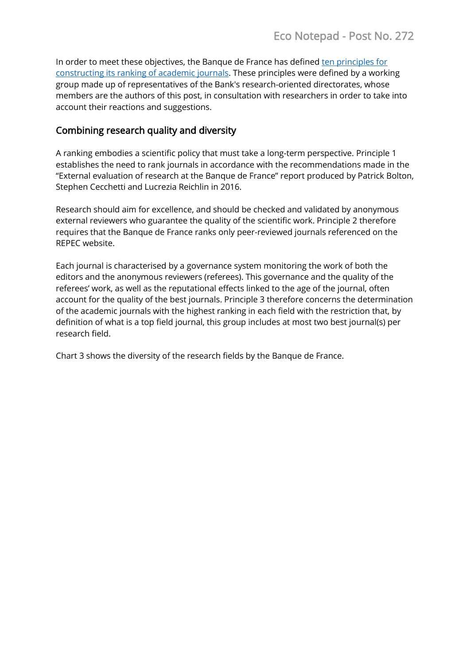In order to meet these objectives, the Banque de France has define[d ten principles for](https://www.banque-france.fr/en/economics/academic-publications)  [constructing its ranking of academic journals.](https://www.banque-france.fr/en/economics/academic-publications) These principles were defined by a working group made up of representatives of the Bank's research-oriented directorates, whose members are the authors of this post, in consultation with researchers in order to take into account their reactions and suggestions.

## Combining research quality and diversity

A ranking embodies a scientific policy that must take a long-term perspective. Principle 1 establishes the need to rank journals in accordance with the recommendations made in the "External evaluation of research at the Banque de France" report produced by Patrick Bolton, Stephen Cecchetti and Lucrezia Reichlin in 2016.

Research should aim for excellence, and should be checked and validated by anonymous external reviewers who guarantee the quality of the scientific work. Principle 2 therefore requires that the Banque de France ranks only peer-reviewed journals referenced on the REPEC website.

Each journal is characterised by a governance system monitoring the work of both the editors and the anonymous reviewers (referees). This governance and the quality of the referees' work, as well as the reputational effects linked to the age of the journal, often account for the quality of the best journals. Principle 3 therefore concerns the determination of the academic journals with the highest ranking in each field with the restriction that, by definition of what is a top field journal, this group includes at most two best journal(s) per research field.

Chart 3 shows the diversity of the research fields by the Banque de France.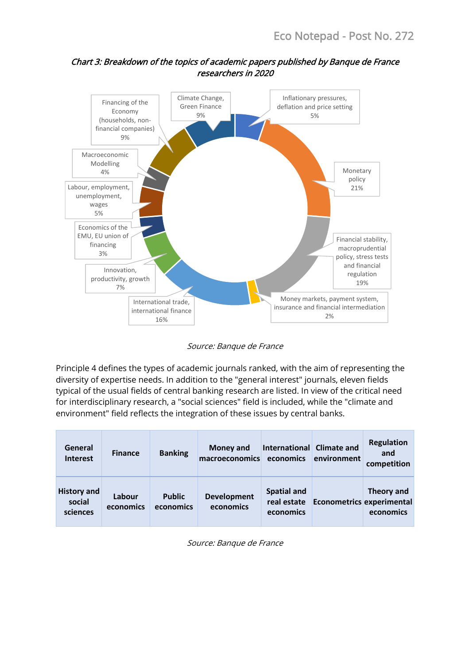

## Chart 3: Breakdown of the topics of academic papers published by Banque de France researchers in 2020

Source: Banque de France

Principle 4 defines the types of academic journals ranked, with the aim of representing the diversity of expertise needs. In addition to the "general interest" journals, eleven fields typical of the usual fields of central banking research are listed. In view of the critical need for interdisciplinary research, a "social sciences" field is included, while the "climate and environment" field reflects the integration of these issues by central banks.

| General<br>Interest                      | <b>Finance</b>      | <b>Banking</b>             | <b>Money and</b><br>macroeconomics | International Climate and<br>economics         | environment               | <b>Regulation</b><br>and<br>competition |
|------------------------------------------|---------------------|----------------------------|------------------------------------|------------------------------------------------|---------------------------|-----------------------------------------|
| <b>History and</b><br>social<br>sciences | Labour<br>economics | <b>Public</b><br>economics | <b>Development</b><br>economics    | <b>Spatial and</b><br>real estate<br>economics | Econometrics experimental | Theory and<br>economics                 |

Source: Banque de France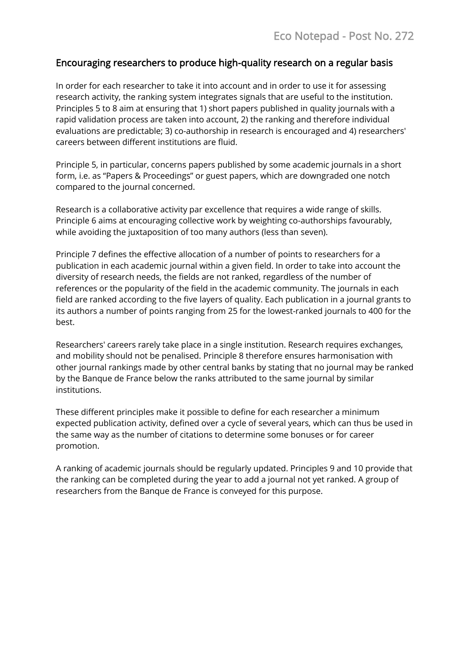## Encouraging researchers to produce high-quality research on a regular basis

In order for each researcher to take it into account and in order to use it for assessing research activity, the ranking system integrates signals that are useful to the institution. Principles 5 to 8 aim at ensuring that 1) short papers published in quality journals with a rapid validation process are taken into account, 2) the ranking and therefore individual evaluations are predictable; 3) co-authorship in research is encouraged and 4) researchers' careers between different institutions are fluid.

Principle 5, in particular, concerns papers published by some academic journals in a short form, i.e. as "Papers & Proceedings" or guest papers, which are downgraded one notch compared to the journal concerned.

Research is a collaborative activity par excellence that requires a wide range of skills. Principle 6 aims at encouraging collective work by weighting co-authorships favourably, while avoiding the juxtaposition of too many authors (less than seven).

Principle 7 defines the effective allocation of a number of points to researchers for a publication in each academic journal within a given field. In order to take into account the diversity of research needs, the fields are not ranked, regardless of the number of references or the popularity of the field in the academic community. The journals in each field are ranked according to the five layers of quality. Each publication in a journal grants to its authors a number of points ranging from 25 for the lowest-ranked journals to 400 for the best.

Researchers' careers rarely take place in a single institution. Research requires exchanges, and mobility should not be penalised. Principle 8 therefore ensures harmonisation with other journal rankings made by other central banks by stating that no journal may be ranked by the Banque de France below the ranks attributed to the same journal by similar institutions.

These different principles make it possible to define for each researcher a minimum expected publication activity, defined over a cycle of several years, which can thus be used in the same way as the number of citations to determine some bonuses or for career promotion.

A ranking of academic journals should be regularly updated. Principles 9 and 10 provide that the ranking can be completed during the year to add a journal not yet ranked. A group of researchers from the Banque de France is conveyed for this purpose.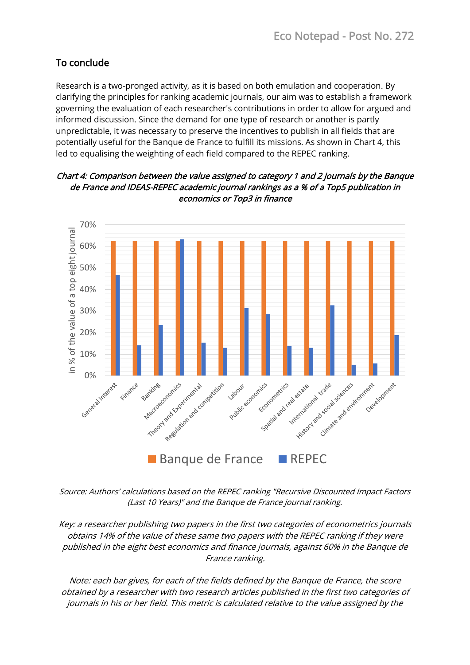## To conclude

Research is a two-pronged activity, as it is based on both emulation and cooperation. By clarifying the principles for ranking academic journals, our aim was to establish a framework governing the evaluation of each researcher's contributions in order to allow for argued and informed discussion. Since the demand for one type of research or another is partly unpredictable, it was necessary to preserve the incentives to publish in all fields that are potentially useful for the Banque de France to fulfill its missions. As shown in Chart 4, this led to equalising the weighting of each field compared to the REPEC ranking.

#### Chart 4: Comparison between the value assigned to category 1 and 2 journals by the Banque de France and IDEAS-REPEC academic journal rankings as a % of a Top5 publication in economics or Top3 in finance



Source: Authors' calculations based on the REPEC ranking "Recursive Discounted Impact Factors (Last 10 Years)" and the Banque de France journal ranking.

Key: a researcher publishing two papers in the first two categories of econometrics journals obtains 14% of the value of these same two papers with the REPEC ranking if they were published in the eight best economics and finance journals, against 60% in the Banque de France ranking.

Note: each bar gives, for each of the fields defined by the Banque de France, the score obtained by a researcher with two research articles published in the first two categories of journals in his or her field. This metric is calculated relative to the value assigned by the